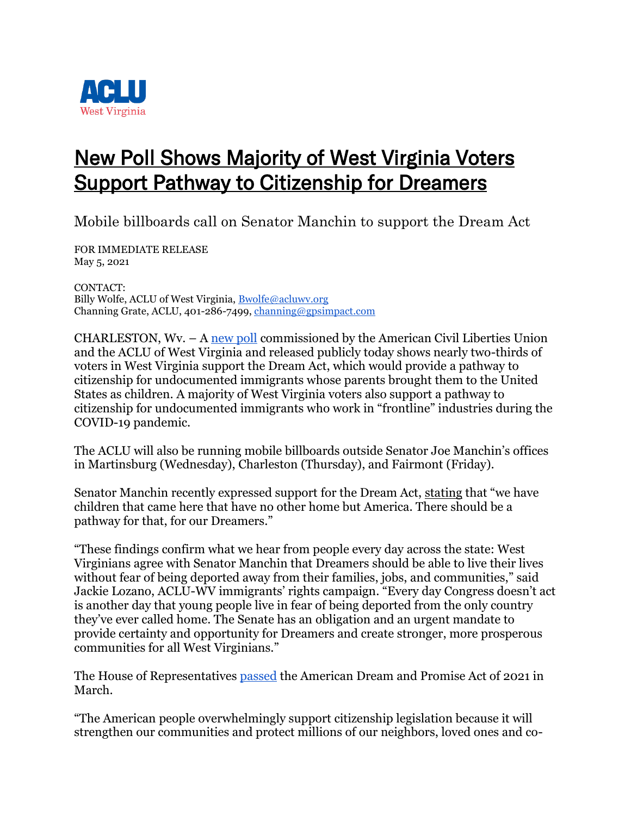

## New Poll Shows Majority of West Virginia Voters Support Pathway to Citizenship for Dreamers

Mobile billboards call on Senator Manchin to support the Dream Act

FOR IMMEDIATE RELEASE May 5, 2021

CONTACT: Billy Wolfe, ACLU of West Virginia, [Bwolfe@acluwv.org](mailto:Bwolfe@acluwv.org) Channing Grate, ACLU, 401-286-7499, [channing@gpsimpact.com](mailto:channing@gpsimpact.com)

CHARLESTON, Wv. – A [new poll](https://www.aclu.org/other/aclu-poll-shows-majority-support-dream-act-west-virginia) commissioned by the American Civil Liberties Union and the ACLU of West Virginia and released publicly today shows nearly two-thirds of voters in West Virginia support the Dream Act, which would provide a pathway to citizenship for undocumented immigrants whose parents brought them to the United States as children. A majority of West Virginia voters also support a pathway to citizenship for undocumented immigrants who work in "frontline" industries during the COVID-19 pandemic.

The ACLU will also be running mobile billboards outside Senator Joe Manchin's offices in Martinsburg (Wednesday), Charleston (Thursday), and Fairmont (Friday).

Senator Manchin recently expressed support for the Dream Act, [stating](https://thehill.com/homenews/senate/546090-manchin-after-border-visit-past-time-to-do-immigration-reform) that "we have children that came here that have no other home but America. There should be a pathway for that, for our Dreamers."

"These findings confirm what we hear from people every day across the state: West Virginians agree with Senator Manchin that Dreamers should be able to live their lives without fear of being deported away from their families, jobs, and communities," said Jackie Lozano, ACLU-WV immigrants' rights campaign. "Every day Congress doesn't act is another day that young people live in fear of being deported from the only country they've ever called home. The Senate has an obligation and an urgent mandate to provide certainty and opportunity for Dreamers and create stronger, more prosperous communities for all West Virginians."

The House of Representatives [passed](https://www.aclu.org/press-releases/aclu-statement-passage-dream-and-promise-act) the American Dream and Promise Act of 2021 in March.

"The American people overwhelmingly support citizenship legislation because it will strengthen our communities and protect millions of our neighbors, loved ones and co